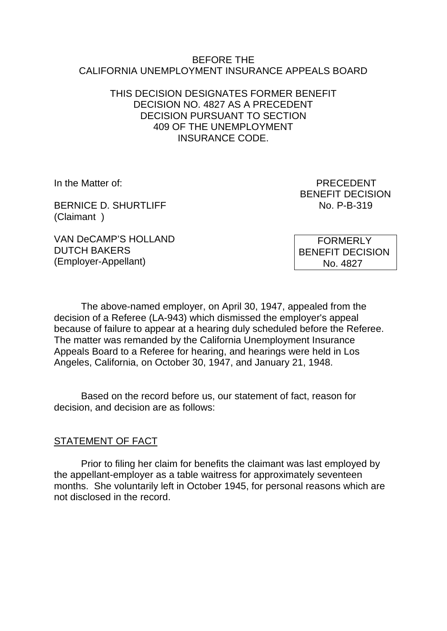### BEFORE THE CALIFORNIA UNEMPLOYMENT INSURANCE APPEALS BOARD

### THIS DECISION DESIGNATES FORMER BENEFIT DECISION NO. 4827 AS A PRECEDENT DECISION PURSUANT TO SECTION 409 OF THE UNEMPLOYMENT INSURANCE CODE.

BERNICE D. SHURTLIFF No. P-B-319 (Claimant )

In the Matter of: PRECEDENT BENEFIT DECISION

VAN DeCAMP'S HOLLAND DUTCH BAKERS (Employer-Appellant)

 FORMERLY BENEFIT DECISION No. 4827

The above-named employer, on April 30, 1947, appealed from the decision of a Referee (LA-943) which dismissed the employer's appeal because of failure to appear at a hearing duly scheduled before the Referee. The matter was remanded by the California Unemployment Insurance Appeals Board to a Referee for hearing, and hearings were held in Los Angeles, California, on October 30, 1947, and January 21, 1948.

Based on the record before us, our statement of fact, reason for decision, and decision are as follows:

### STATEMENT OF FACT

Prior to filing her claim for benefits the claimant was last employed by the appellant-employer as a table waitress for approximately seventeen months. She voluntarily left in October 1945, for personal reasons which are not disclosed in the record.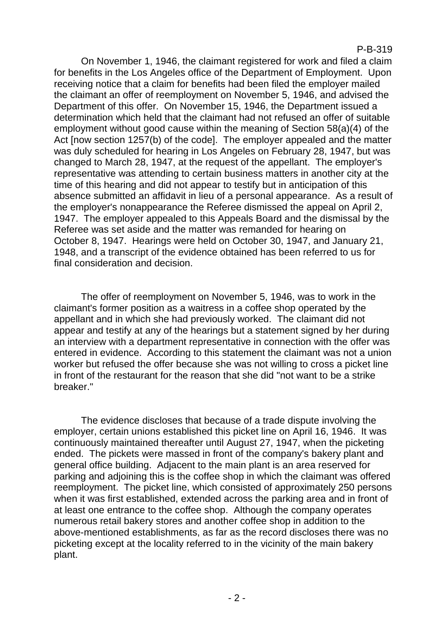### P-B-319

On November 1, 1946, the claimant registered for work and filed a claim for benefits in the Los Angeles office of the Department of Employment. Upon receiving notice that a claim for benefits had been filed the employer mailed the claimant an offer of reemployment on November 5, 1946, and advised the Department of this offer. On November 15, 1946, the Department issued a determination which held that the claimant had not refused an offer of suitable employment without good cause within the meaning of Section 58(a)(4) of the Act [now section 1257(b) of the code]. The employer appealed and the matter was duly scheduled for hearing in Los Angeles on February 28, 1947, but was changed to March 28, 1947, at the request of the appellant. The employer's representative was attending to certain business matters in another city at the time of this hearing and did not appear to testify but in anticipation of this absence submitted an affidavit in lieu of a personal appearance. As a result of the employer's nonappearance the Referee dismissed the appeal on April 2, 1947. The employer appealed to this Appeals Board and the dismissal by the Referee was set aside and the matter was remanded for hearing on October 8, 1947. Hearings were held on October 30, 1947, and January 21, 1948, and a transcript of the evidence obtained has been referred to us for final consideration and decision.

The offer of reemployment on November 5, 1946, was to work in the claimant's former position as a waitress in a coffee shop operated by the appellant and in which she had previously worked. The claimant did not appear and testify at any of the hearings but a statement signed by her during an interview with a department representative in connection with the offer was entered in evidence. According to this statement the claimant was not a union worker but refused the offer because she was not willing to cross a picket line in front of the restaurant for the reason that she did "not want to be a strike breaker."

The evidence discloses that because of a trade dispute involving the employer, certain unions established this picket line on April 16, 1946. It was continuously maintained thereafter until August 27, 1947, when the picketing ended. The pickets were massed in front of the company's bakery plant and general office building. Adjacent to the main plant is an area reserved for parking and adjoining this is the coffee shop in which the claimant was offered reemployment. The picket line, which consisted of approximately 250 persons when it was first established, extended across the parking area and in front of at least one entrance to the coffee shop. Although the company operates numerous retail bakery stores and another coffee shop in addition to the above-mentioned establishments, as far as the record discloses there was no picketing except at the locality referred to in the vicinity of the main bakery plant.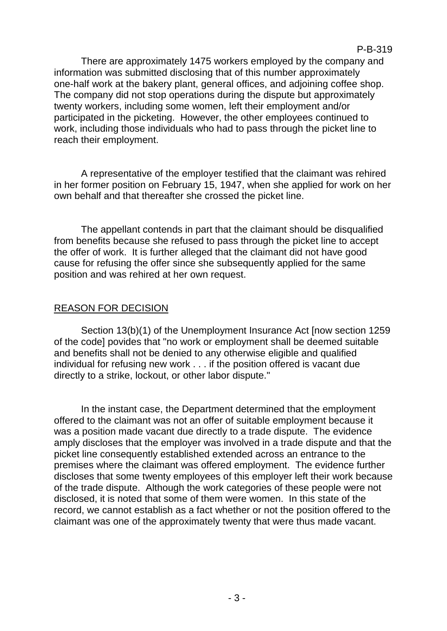P-B-319

There are approximately 1475 workers employed by the company and information was submitted disclosing that of this number approximately one-half work at the bakery plant, general offices, and adjoining coffee shop. The company did not stop operations during the dispute but approximately twenty workers, including some women, left their employment and/or participated in the picketing. However, the other employees continued to work, including those individuals who had to pass through the picket line to reach their employment.

A representative of the employer testified that the claimant was rehired in her former position on February 15, 1947, when she applied for work on her own behalf and that thereafter she crossed the picket line.

The appellant contends in part that the claimant should be disqualified from benefits because she refused to pass through the picket line to accept the offer of work. It is further alleged that the claimant did not have good cause for refusing the offer since she subsequently applied for the same position and was rehired at her own request.

## REASON FOR DECISION

Section 13(b)(1) of the Unemployment Insurance Act [now section 1259 of the code] povides that "no work or employment shall be deemed suitable and benefits shall not be denied to any otherwise eligible and qualified individual for refusing new work . . . if the position offered is vacant due directly to a strike, lockout, or other labor dispute."

In the instant case, the Department determined that the employment offered to the claimant was not an offer of suitable employment because it was a position made vacant due directly to a trade dispute. The evidence amply discloses that the employer was involved in a trade dispute and that the picket line consequently established extended across an entrance to the premises where the claimant was offered employment. The evidence further discloses that some twenty employees of this employer left their work because of the trade dispute. Although the work categories of these people were not disclosed, it is noted that some of them were women. In this state of the record, we cannot establish as a fact whether or not the position offered to the claimant was one of the approximately twenty that were thus made vacant.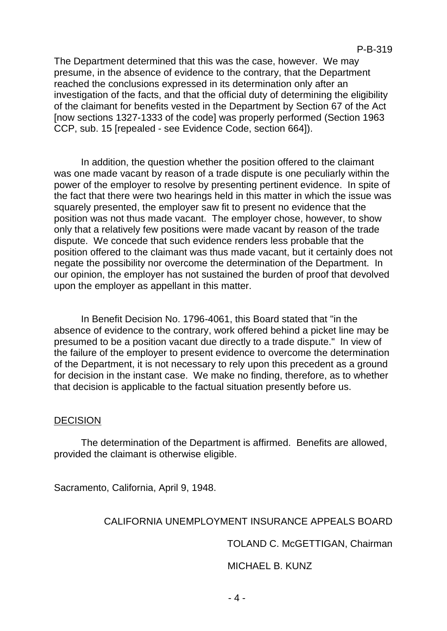The Department determined that this was the case, however. We may presume, in the absence of evidence to the contrary, that the Department reached the conclusions expressed in its determination only after an investigation of the facts, and that the official duty of determining the eligibility of the claimant for benefits vested in the Department by Section 67 of the Act [now sections 1327-1333 of the code] was properly performed (Section 1963 CCP, sub. 15 [repealed - see Evidence Code, section 664]).

In addition, the question whether the position offered to the claimant was one made vacant by reason of a trade dispute is one peculiarly within the power of the employer to resolve by presenting pertinent evidence. In spite of the fact that there were two hearings held in this matter in which the issue was squarely presented, the employer saw fit to present no evidence that the position was not thus made vacant. The employer chose, however, to show only that a relatively few positions were made vacant by reason of the trade dispute. We concede that such evidence renders less probable that the position offered to the claimant was thus made vacant, but it certainly does not negate the possibility nor overcome the determination of the Department. In our opinion, the employer has not sustained the burden of proof that devolved upon the employer as appellant in this matter.

In Benefit Decision No. 1796-4061, this Board stated that "in the absence of evidence to the contrary, work offered behind a picket line may be presumed to be a position vacant due directly to a trade dispute." In view of the failure of the employer to present evidence to overcome the determination of the Department, it is not necessary to rely upon this precedent as a ground for decision in the instant case. We make no finding, therefore, as to whether that decision is applicable to the factual situation presently before us.

### **DECISION**

The determination of the Department is affirmed. Benefits are allowed, provided the claimant is otherwise eligible.

Sacramento, California, April 9, 1948.

### CALIFORNIA UNEMPLOYMENT INSURANCE APPEALS BOARD

TOLAND C. McGETTIGAN, Chairman

MICHAEL B. KUNZ